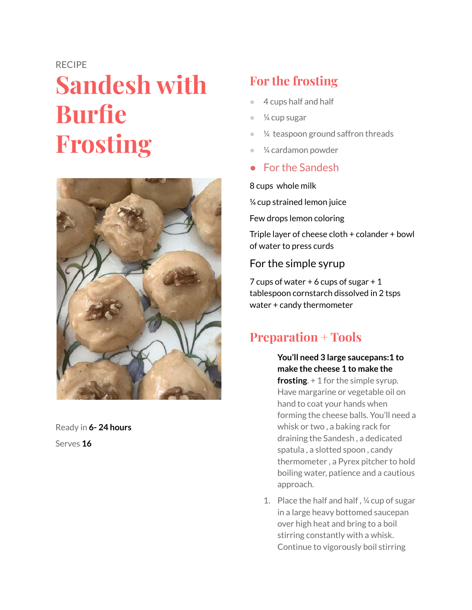#### RECIPE

# **Sandesh with Burfie Frosting**



Ready in **6- 24 hours** Serves **16**

## **For the frosting**

- 4 cups half and half
- $\frac{1}{4}$  cup sugar
- $\frac{1}{4}$  teaspoon ground saffron threads
- $\frac{1}{4}$  cardamon powder
- For the Sandesh

#### 8 cups whole milk

¼ cup strained lemon juice

Few drops lemon coloring

Triple layer of cheese cloth + colander + bowl of water to press curds

### For the simple syrup

7 cups of water  $+6$  cups of sugar  $+1$ tablespoon cornstarch dissolved in 2 tsps water + candy thermometer

## **Preparation + Tools**

#### **You'll need 3 large saucepans:1 to make the cheese 1 to make the**

**frosting**. + 1 for the simple syrup. Have margarine or vegetable oil on hand to coat your hands when forming the cheese balls. You'll need a whisk or two , a baking rack for draining the Sandesh , a dedicated spatula , a slotted spoon , candy thermometer , a Pyrex pitcher to hold boiling water, patience and a cautious approach.

1. Place the half and half , ¼ cup of sugar in a large heavy bottomed saucepan over high heat and bring to a boil stirring constantly with a whisk. Continue to vigorously boil stirring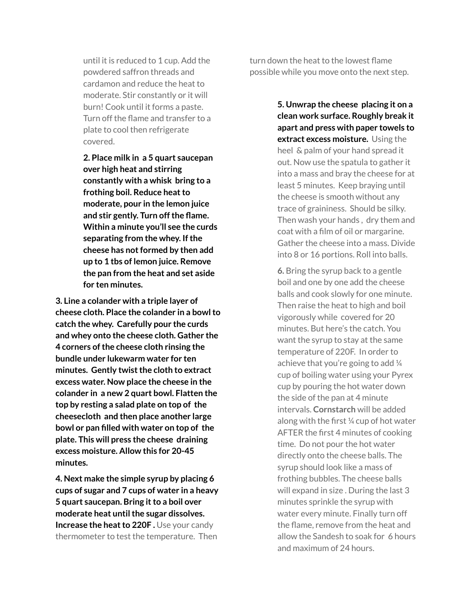until it is reduced to 1 cup. Add the powdered saffron threads and cardamon and reduce the heat to moderate. Stir constantly or it will burn! Cook until it forms a paste. Turn off the flame and transfer to a plate to cool then refrigerate covered.

**2. Place milk in a 5 quart saucepan over high heat and stirring constantly with a whisk bring to a frothing boil. Reduce heat to moderate, pour in the lemon juice and stir gently. Turn off the flame. Within a minute you'll see the curds separating from the whey. If the cheese has not formed by then add up to 1 tbs of lemon juice. Remove the pan from the heat and set aside for ten minutes.**

**3. Line a colander with a triple layer of cheese cloth. Place the colander in a bowl to catch the whey. Carefully pour the curds and whey onto the cheese cloth. Gather the 4 corners of the cheese cloth rinsing the bundle under lukewarm water for ten minutes. Gently twist the cloth to extract excess water. Now place the cheese in the colander in a new 2 quart bowl. Flatten the top by resting a salad plate on top of the cheesecloth and then place another large bowl or pan filled with water on top of the plate. This will press the cheese draining excess moisture. Allow this for 20-45 minutes.**

**4. Next make the simple syrup by placing 6 cups of sugar and 7 cups of water in a heavy 5 quart saucepan. Bring it to a boil over moderate heat until the sugar dissolves. Increase the heat to 220F .** Use your candy thermometer to test the temperature. Then

turn down the heat to the lowest flame possible while you move onto the next step.

> **5. Unwrap the cheese placing it on a clean work surface. Roughly break it apart and press with paper towels to extract excess moisture.** Using the heel & palm of your hand spread it out. Now use the spatula to gather it into a mass and bray the cheese for at least 5 minutes. Keep braying until the cheese is smooth without any trace of graininess. Should be silky. Then wash your hands , dry them and coat with a film of oil or margarine. Gather the cheese into a mass. Divide into 8 or 16 portions. Roll into balls.

> **6.** Bring the syrup back to a gentle boil and one by one add the cheese balls and cook slowly for one minute. Then raise the heat to high and boil vigorously while covered for 20 minutes. But here's the catch. You want the syrup to stay at the same temperature of 220F. In order to achieve that you're going to add ¼ cup of boiling water using your Pyrex cup by pouring the hot water down the side of the pan at 4 minute intervals. **Cornstarch** will be added along with the first ¼ cup of hot water AFTER the first 4 minutes of cooking time. Do not pour the hot water directly onto the cheese balls. The syrup should look like a mass of frothing bubbles. The cheese balls will expand in size . During the last 3 minutes sprinkle the syrup with water every minute. Finally turn off the flame, remove from the heat and allow the Sandesh to soak for 6 hours and maximum of 24 hours.